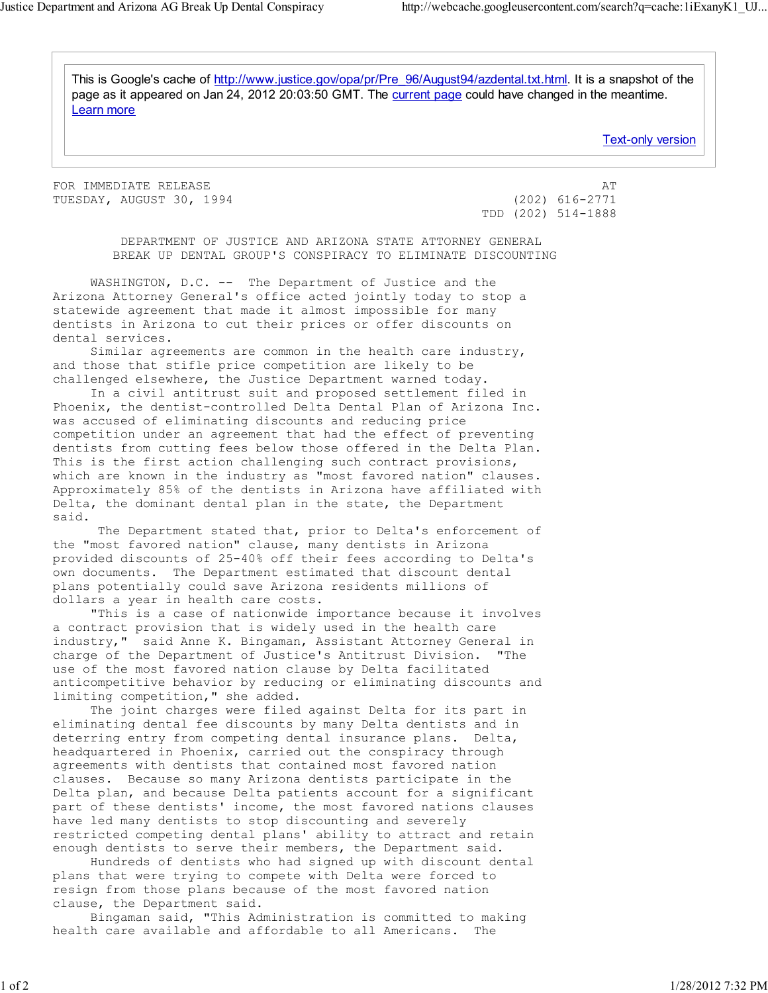This is Google's cache of http://www.justice.gov/opa/pr/Pre\_96/August94/azdental.txt.html. It is a snapshot of the page as it appeared on Jan 24, 2012 20:03:50 GMT. The current page could have changed in the meantime. Learn more

Text-only version

FOR IMMEDIATE RELEASE AT A SERIE AND THE SERIES OF THE SERIES AT A THE SERIES OF THE SERIES AT A THE SERIES OF THE SERIES OF THE SERIES OF THE SERIES OF THE SERIES OF THE SERIES OF THE SERIES OF THE SERIES OF THE SERIES OF TUESDAY, AUGUST 30, 1994 (202) 616-2771

TDD (202) 514-1888

 DEPARTMENT OF JUSTICE AND ARIZONA STATE ATTORNEY GENERAL BREAK UP DENTAL GROUP'S CONSPIRACY TO ELIMINATE DISCOUNTING

 WASHINGTON, D.C. -- The Department of Justice and the Arizona Attorney General's office acted jointly today to stop a statewide agreement that made it almost impossible for many dentists in Arizona to cut their prices or offer discounts on dental services.

 Similar agreements are common in the health care industry, and those that stifle price competition are likely to be challenged elsewhere, the Justice Department warned today.

 In a civil antitrust suit and proposed settlement filed in Phoenix, the dentist-controlled Delta Dental Plan of Arizona Inc. was accused of eliminating discounts and reducing price competition under an agreement that had the effect of preventing dentists from cutting fees below those offered in the Delta Plan. This is the first action challenging such contract provisions, which are known in the industry as "most favored nation" clauses. Approximately 85% of the dentists in Arizona have affiliated with Delta, the dominant dental plan in the state, the Department said.

 The Department stated that, prior to Delta's enforcement of the "most favored nation" clause, many dentists in Arizona provided discounts of 25-40% off their fees according to Delta's own documents. The Department estimated that discount dental plans potentially could save Arizona residents millions of dollars a year in health care costs.

 "This is a case of nationwide importance because it involves a contract provision that is widely used in the health care industry," said Anne K. Bingaman, Assistant Attorney General in charge of the Department of Justice's Antitrust Division. use of the most favored nation clause by Delta facilitated anticompetitive behavior by reducing or eliminating discounts and limiting competition," she added.

 The joint charges were filed against Delta for its part in eliminating dental fee discounts by many Delta dentists and in deterring entry from competing dental insurance plans. Delta, headquartered in Phoenix, carried out the conspiracy through agreements with dentists that contained most favored nation clauses. Because so many Arizona dentists participate in the Delta plan, and because Delta patients account for a significant part of these dentists' income, the most favored nations clauses have led many dentists to stop discounting and severely restricted competing dental plans' ability to attract and retain enough dentists to serve their members, the Department said.

 Hundreds of dentists who had signed up with discount dental plans that were trying to compete with Delta were forced to resign from those plans because of the most favored nation clause, the Department said.

 Bingaman said, "This Administration is committed to making health care available and affordable to all Americans. The